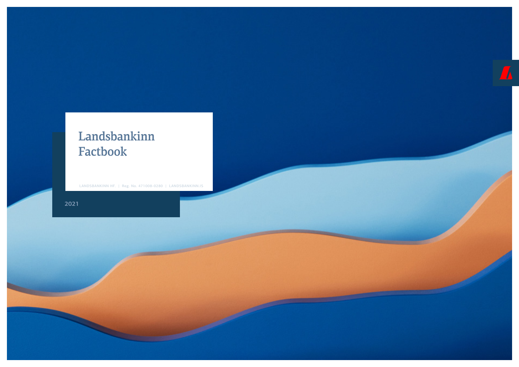# Landsbankinn Factbook

LANDSBANKINN HF. | Reg. No. 471008-0280 | LANDSBANKINN.IS

**2021**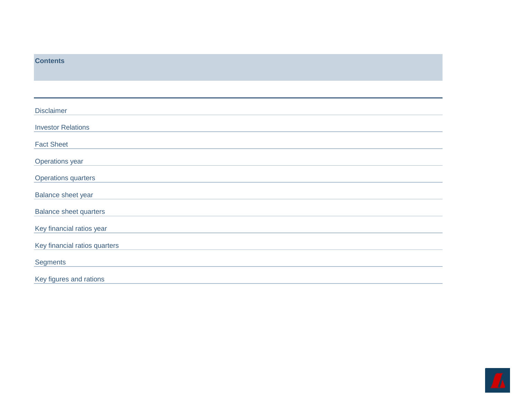<span id="page-1-0"></span>

| <b>Contents</b>               |
|-------------------------------|
|                               |
|                               |
| <b>Disclaimer</b>             |
| <b>Investor Relations</b>     |
| <b>Fact Sheet</b>             |
| Operations year               |
| Operations quarters           |
| Balance sheet year            |
| <b>Balance sheet quarters</b> |
| Key financial ratios year     |
| Key financial ratios quarters |
| <b>Segments</b>               |
| Key figures and rations       |

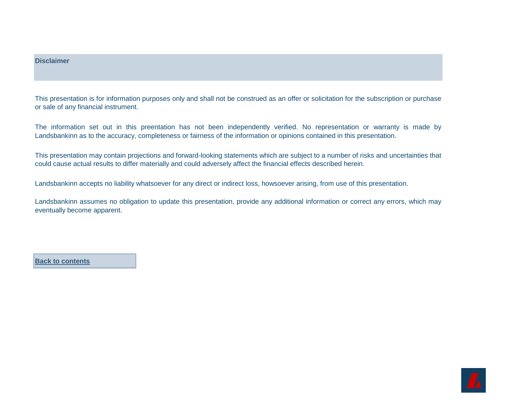### <span id="page-2-0"></span>**Disclaimer**

This presentation is for information purposes only and shall not be construed as an offer or solicitation for the subscription or purchase or sale of any financial instrument.

The information set out in this preentation has not been independently verified. No representation or warranty is made by Landsbankinn as to the accuracy, completeness or fairness of the information or opinions contained in this presentation.

This presentation may contain projections and forward-looking statements which are subject to a number of risks and uncertainties that could cause actual results to differ materially and could adversely affect the financial effects described herein.

Landsbankinn accepts no liability whatsoever for any direct or indirect loss, howsoever arising, from use of this presentation.

Landsbankinn assumes no obligation to update this presentation, provide any additional information or correct any errors, which may eventually become apparent.

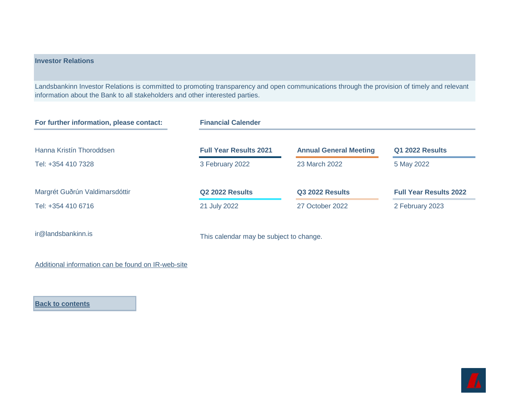## <span id="page-3-0"></span>**Investor Relations**

Landsbankinn Investor Relations is committed to promoting transparency and open communications through the provision of timely and relevant information about the Bank to all stakeholders and other interested parties.

| For further information, please contact: | <b>Financial Calender</b>     |                               |                               |
|------------------------------------------|-------------------------------|-------------------------------|-------------------------------|
| Hanna Kristín Thoroddsen                 | <b>Full Year Results 2021</b> | <b>Annual General Meeting</b> | <b>Q1 2022 Results</b>        |
| Tel: +354 410 7328                       | 3 February 2022               | 23 March 2022                 | 5 May 2022                    |
| Margrét Guðrún Valdimarsdóttir           | <b>Q2 2022 Results</b>        | <b>Q3 2022 Results</b>        | <b>Full Year Results 2022</b> |
| Tel: +354 410 6716                       | 21 July 2022                  | 27 October 2022               | 2 February 2023               |
|                                          |                               |                               |                               |

[ir@landsbankinn.is](mailto:ir@landsbankinn.is) This calendar may be subject to change.

[Additional information can be found on IR-web-site](https://corporate.landsbankinn.com/investor-relations/)

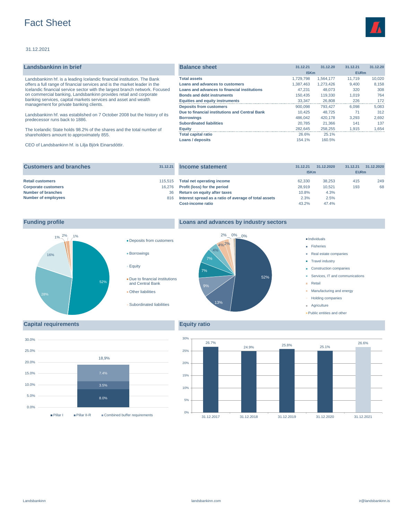# <span id="page-4-0"></span>Fact Sheet

### 31.12.2021

| Landsbankinn in brief                                                       | <b>Balance sheet</b>                           | 31.12.21    | 31.12.20  | 31.12.21    | 31.12.20 |
|-----------------------------------------------------------------------------|------------------------------------------------|-------------|-----------|-------------|----------|
|                                                                             |                                                | <b>ISKm</b> |           | <b>EURm</b> |          |
| Landsbankinn hf. is a leading Icelandic financial institution. The Bank     | <b>Total assets</b>                            | 1.729.798   | 1.564.177 | 11.719      | 10.020   |
| offers a full range of financial services and is the market leader in the   | Loans and advances to customers                | 1.387.463   | 1.273.426 | 9.400       | 8.158    |
| Icelandic financial service sector with the largest branch network. Focused | Loans and advances to financial institutions   | 47.231      | 48.073    | 320         | 308      |
| on commercial banking, Landsbankinn provides retail and corporate           | <b>Bonds and debt instruments</b>              | 150,435     | 119,330   | 1,019       | 764      |
| banking services, capital markets services and asset and wealth             | <b>Equities and equity instruments</b>         | 33.347      | 26,808    | 226         | 172      |
| management for private banking clients.                                     | <b>Deposits from customers</b>                 | 900.098     | 793.427   | 6,098       | 5,083    |
| Landsbankinn hf. was established on 7 October 2008 but the history of its   | Due to financial institutions and Central Bank | 10.425      | 48.725    | 71          | 312      |
| predecessor runs back to 1886.                                              | <b>Borrowings</b>                              | 486.042     | 420.178   | 3.293       | 2,692    |
|                                                                             | <b>Subordinated liabilities</b>                | 20.785      | 21.366    | 141         | 137      |
| The Icelandic State holds 98.2% of the shares and the total number of       | <b>Equity</b>                                  | 282.645     | 258,255   | 1,915       | 1,654    |
| shareholders amount to approximately 855.                                   | <b>Total capital ratio</b>                     | 26.6%       | 25.1%     |             |          |
|                                                                             | Loans / deposits                               | 154.1%      | 160.5%    |             |          |
|                                                                             |                                                |             |           |             |          |

CEO of Landsbankinn hf. is Lilja Björk Einarsdóttir.

| <b>Customers and branches</b>                         | 31.12.21          | Income statement                                                           | 31.12.21<br><b>ISKm</b> | 31.12.2020       | 31.12.21<br><b>EURm</b> | 31.12.2020 |
|-------------------------------------------------------|-------------------|----------------------------------------------------------------------------|-------------------------|------------------|-------------------------|------------|
| <b>Retail customers</b><br><b>Corporate customers</b> | 115.515<br>16.276 | Total net operating income<br>Profit (loss) for the period                 | 62.330<br>28.919        | 38.253<br>10.521 | 415<br>193              | 249<br>68  |
| <b>Number of branches</b>                             | 36                | Return on equity after taxes                                               | 10.8%                   | 4.3%             |                         |            |
| Number of employees                                   | 816               | Interest spread as a ratio of average of total assets<br>Cost-income ratio | 2.3%<br>43.2%           | 2.5%<br>47.4%    |                         |            |



### **Funding profile Loans and advances by industry sectors**



# **Fisheries**

- Real estate companies
- **Travel industry**
- Construction companies
- Services, IT and communications
- **Retail**
- **Manufacturing and energy**
- Holding companies
- Agriculture
- Public entities and other

### **Capital requirements Equity ratio**



**Deposits from customers** 

Due to financial institutions and Central Bank

Subordinated liabilities

Borrowings

**Other liabilities** 

Equity

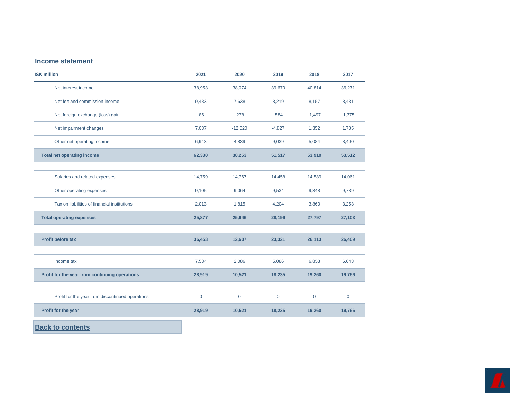### <span id="page-5-0"></span>**Income statement**

| <b>ISK million</b>                               | 2021           | 2020        | 2019         | 2018        | 2017        |
|--------------------------------------------------|----------------|-------------|--------------|-------------|-------------|
| Net interest income                              | 38,953         | 38,074      | 39,670       | 40,814      | 36,271      |
| Net fee and commission income                    | 9,483          | 7,638       | 8,219        | 8,157       | 8,431       |
| Net foreign exchange (loss) gain                 | $-86$          | $-278$      | $-584$       | $-1,497$    | $-1,375$    |
| Net impairment changes                           | 7,037          | $-12,020$   | $-4,827$     | 1,352       | 1,785       |
| Other net operating income                       | 6,943          | 4,839       | 9,039        | 5,084       | 8,400       |
| <b>Total net operating income</b>                | 62,330         | 38,253      | 51,517       | 53,910      | 53,512      |
| Salaries and related expenses                    | 14,759         | 14,767      | 14,458       | 14,589      | 14,061      |
| Other operating expenses                         | 9,105          | 9,064       | 9,534        | 9,348       | 9,789       |
| Tax on liabilities of financial institutions     | 2,013          | 1,815       | 4,204        | 3,860       | 3,253       |
| <b>Total operating expenses</b>                  | 25,877         | 25,646      | 28,196       | 27,797      | 27,103      |
| <b>Profit before tax</b>                         | 36,453         | 12,607      | 23,321       | 26,113      | 26,409      |
| Income tax                                       | 7,534          | 2,086       | 5,086        | 6,853       | 6,643       |
| Profit for the year from continuing operations   | 28,919         | 10,521      | 18,235       | 19,260      | 19,766      |
| Profit for the year from discontinued operations | $\overline{0}$ | $\mathbf 0$ | $\mathbf{0}$ | $\mathbf 0$ | $\mathbf 0$ |
| Profit for the year                              | 28,919         | 10,521      | 18,235       | 19,260      | 19,766      |
|                                                  |                |             |              |             |             |

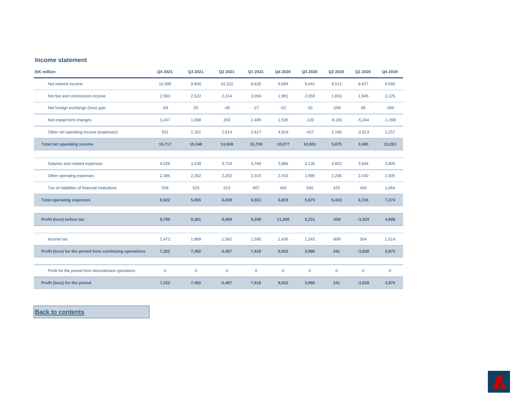### <span id="page-6-0"></span>**Income statement**

| <b>ISK million</b>                                      | Q4 2021      | Q3 2021      | Q2 2021     | Q1 2021      | Q4 2020      | Q3 2020      | Q2 2020      | Q1 2020      | Q4 2019     |
|---------------------------------------------------------|--------------|--------------|-------------|--------------|--------------|--------------|--------------|--------------|-------------|
| Net interest income                                     | 10,395       | 9,600        | 10,332      | 8,626        | 9,694        | 9,441        | 9,512        | 9,427        | 9,580       |
| Net fee and commission income                           | 2,593        | 2,522        | 2,314       | 2,054        | 1,981        | 2,059        | 1,653        | 1,945        | 2,125       |
| Net foreign exchange (loss) gain                        | $-69$        | 55           | $-45$       | $-27$        | $-52$        | $-52$        | $-259$       | 85           | $-300$      |
| Net impairment changes                                  | 3,247        | 1,008        | 293         | 2,489        | 1,535        | $-120$       | $-8,191$     | $-5,244$     | $-1,399$    |
| Other net operating income (expenses)                   | 551          | 2,161        | 1,614       | 2,617        | 4,919        | $-427$       | 3,160        | $-2,813$     | 2,257       |
| Total net operating income                              | 16,717       | 15,346       | 14,508      | 15,759       | 18,077       | 10,901       | 5,875        | 3,400        | 12,263      |
|                                                         |              |              |             |              |              |              |              |              |             |
| Salaries and related expenses                           | 4,028        | 3,238        | 3,724       | 3,769        | 3,986        | 3,135        | 3,802        | 3,844        | 3,805       |
| Other operating expenses                                | 2,386        | 2,202        | 2,202       | 2,315        | 2,433        | 1,995        | 2,206        | 2,430        | 2,505       |
| Tax on liabilities of financial institutions            | 508          | 525          | 513         | 467          | 400          | 540          | 425          | 450          | 1,064       |
| <b>Total operating expenses</b>                         | 6,922        | 5,965        | 6,439       | 6,551        | 6,819        | 5,670        | 6,433        | 6,724        | 7,374       |
|                                                         |              |              |             |              |              |              |              |              |             |
| Profit (loss) before tax                                | 9,795        | 9,381        | 8,069       | 9,208        | 11,258       | 5,231        | $-558$       | $-3,324$     | 4,889       |
|                                                         |              |              |             |              |              |              |              |              |             |
| Income tax                                              | 2,473        | 1,889        | 1,582       | 1,590        | 1,436        | 1,245        | $-899$       | 304          | 1,014       |
| Profit (loss) for the period from continuing operations | 7,322        | 7,492        | 6,487       | 7,618        | 9,822        | 3,986        | 341          | $-3,628$     | 3,875       |
|                                                         |              |              |             |              |              |              |              |              |             |
| Profit for the period from discontinued operations      | $\mathbf{0}$ | $\mathbf{0}$ | $\mathbf 0$ | $\mathbf{0}$ | $\mathbf{0}$ | $\mathbf{0}$ | $\mathbf{0}$ | $\mathbf{0}$ | $\mathbf 0$ |
| Profit (loss) for the period                            | 7,322        | 7,492        | 6,487       | 7,618        | 9,822        | 3,986        | 341          | $-3,628$     | 3,875       |

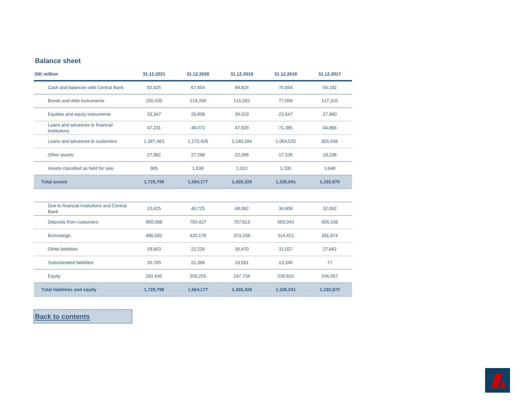# <span id="page-7-0"></span>**Balance sheet**

| <b>ISK million</b>                                       | 31.12.2021 | 31.12.2020 | 31.12.2019 | 31.12.2018 | 31.12.2017 |
|----------------------------------------------------------|------------|------------|------------|------------|------------|
| Cash and balances with Central Bank                      | 82,425     | 67,604     | 69,824     | 70,854     | 55,192     |
| Bonds and debt instruments                               | 150,435    | 119,330    | 115,262    | 77,058     | 117,310    |
| Equities and equity instruments                          | 33,347     | 26,808     | 30,019     | 23,547     | 27,980     |
| Loans and advances to financial<br>institutions          | 47,231     | 48,073     | 47,929     | 71,385     | 44,866     |
| Loans and advances to customers                          | 1,387,463  | 1,273,426  | 1,140,184  | 1,064,532  | 925,636    |
| Other assets                                             | 27,992     | 27,298     | 22,088     | 17,335     | 18,238     |
| Assets classified as held for sale                       | 905        | 1,638      | 1,022      | 1,330      | 3,648      |
| <b>Total assets</b>                                      | 1,729,798  | 1,564,177  | 1,426,328  | 1,326,041  | 1,192,870  |
|                                                          |            |            |            |            |            |
| Due to financial institutions and Central<br><b>Bank</b> | 10,425     | 48,725     | 48,062     | 34,609     | 32,062     |
| Deposits from customers                                  | 900,098    | 793,427    | 707,813    | 693,043    | 605,158    |
| <b>Borrowings</b>                                        | 486,042    | 420,178    | 373,168    | 314,412    | 281,874    |
| <b>Other liabilities</b>                                 | 29,803     | 22,226     | 30,470     | 31,027     | 27,642     |
| Subordinated liabilities                                 | 20,785     | 21,366     | 19,081     | 13,340     | 77         |
| Equity                                                   | 282,645    | 258,255    | 247,734    | 239,610    | 246,057    |
| <b>Total liabilities and equity</b>                      | 1,729,798  | 1,564,177  | 1,426,328  | 1,326,041  | 1,192,870  |

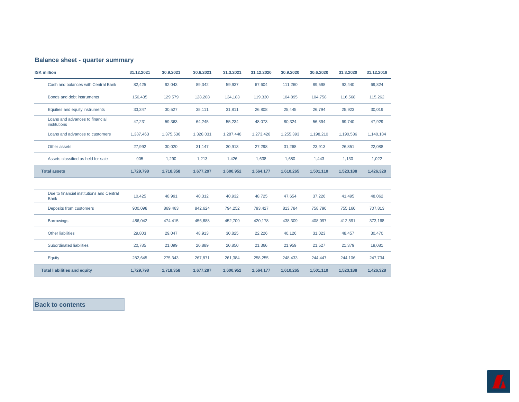### <span id="page-8-0"></span>**Balance sheet - quarter summary**

| <b>ISK million</b>                                       | 31.12.2021 | 30.9.2021 | 30.6.2021 | 31.3.2021 | 31.12.2020 | 30.9.2020 | 30.6.2020 | 31.3.2020 | 31.12.2019 |
|----------------------------------------------------------|------------|-----------|-----------|-----------|------------|-----------|-----------|-----------|------------|
| Cash and balances with Central Bank                      | 82,425     | 92,043    | 89,342    | 59,937    | 67,604     | 111,260   | 89,598    | 92,440    | 69,824     |
| Bonds and debt instruments                               | 150,435    | 129,579   | 128,208   | 134,183   | 119,330    | 104,895   | 104,758   | 116,568   | 115,262    |
| Equities and equity instruments                          | 33,347     | 30,527    | 35,111    | 31,811    | 26,808     | 25,445    | 26,794    | 25,923    | 30,019     |
| Loans and advances to financial<br>institutions          | 47,231     | 59,363    | 64,245    | 55,234    | 48,073     | 80,324    | 56,394    | 69,740    | 47,929     |
| Loans and advances to customers                          | 1,387,463  | 1,375,536 | 1,328,031 | 1,287,448 | 1,273,426  | 1,255,393 | 1,198,210 | 1,190,536 | 1,140,184  |
| Other assets                                             | 27,992     | 30,020    | 31,147    | 30,913    | 27,298     | 31,268    | 23,913    | 26,851    | 22,088     |
| Assets classified as held for sale                       | 905        | 1,290     | 1,213     | 1,426     | 1,638      | 1,680     | 1,443     | 1,130     | 1,022      |
| <b>Total assets</b>                                      | 1,729,798  | 1,718,358 | 1,677,297 | 1,600,952 | 1,564,177  | 1,610,265 | 1,501,110 | 1,523,188 | 1,426,328  |
|                                                          |            |           |           |           |            |           |           |           |            |
| Due to financial institutions and Central<br><b>Bank</b> | 10,425     | 48,991    | 40,312    | 40,932    | 48,725     | 47,654    | 37,226    | 41,495    | 48,062     |
| Deposits from customers                                  | 900,098    | 869,463   | 842,624   | 794,252   | 793,427    | 813,784   | 758,790   | 755,160   | 707,813    |
| <b>Borrowings</b>                                        | 486.042    | 474,415   | 456,688   | 452,709   | 420,178    | 438,309   | 408,097   | 412,591   | 373,168    |
| Other liabilities                                        | 29,803     | 29,047    | 48,913    | 30,825    | 22,226     | 40,126    | 31,023    | 48,457    | 30,470     |
| Subordinated liabilities                                 | 20,785     | 21,099    | 20,889    | 20,850    | 21,366     | 21,959    | 21,527    | 21,379    | 19,081     |
| Equity                                                   | 282,645    | 275,343   | 267,871   | 261,384   | 258,255    | 248,433   | 244,447   | 244,106   | 247,734    |
| <b>Total liabilities and equity</b>                      | 1,729,798  | 1,718,358 | 1,677,297 | 1,600,952 | 1,564,177  | 1,610,265 | 1,501,110 | 1,523,188 | 1,426,328  |

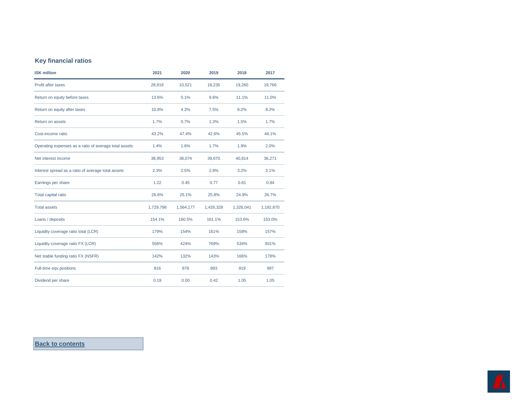# <span id="page-9-0"></span>**Key financial ratios**

| <b>ISK million</b>                                    | 2021      | 2020      | 2019      | 2018      | 2017      |
|-------------------------------------------------------|-----------|-----------|-----------|-----------|-----------|
| Profit after taxes                                    | 28,919    | 10,521    | 18,235    | 19,260    | 19,766    |
| Return on equity before taxes                         | 13.6%     | 5.1%      | 9.6%      | 11.1%     | 11.0%     |
| Return on equity after taxes                          | 10.8%     | 4.3%      | 7.5%      | 8.2%      | 8.2%      |
| Return on assets                                      | 1.7%      | 0.7%      | 1.3%      | 1.5%      | 1.7%      |
| Cost-income ratio                                     | 43.2%     | 47.4%     | 42.6%     | 45.5%     | 46.1%     |
| Operating expenses as a ratio of average total assets | 1.4%      | 1.6%      | 1.7%      | 1.9%      | 2.0%      |
| Net interest income                                   | 38,953    | 38,074    | 39,670    | 40,814    | 36,271    |
| Interest spread as a ratio of average total assets    | 2.3%      | 2.5%      | 2.8%      | 3.2%      | 3.1%      |
| Earnings per share                                    | 1.22      | 0.45      | 0.77      | 0.81      | 0.84      |
| Total capital ratio                                   | 26.6%     | 25.1%     | 25.8%     | 24.9%     | 26.7%     |
| <b>Total assets</b>                                   | 1,729,798 | 1,564,177 | 1,426,328 | 1,326,041 | 1,192,870 |
| Loans / deposits                                      | 154.1%    | 160.5%    | 161.1%    | 153.6%    | 153.0%    |
| Liquidity coverage ratio total (LCR)                  | 179%      | 154%      | 161%      | 158%      | 157%      |
| Liquidity coverage ratio FX (LCR)                     | 556%      | 424%      | 769%      | 534%      | 931%      |
| Net stable funding ratio FX (NSFR)                    | 142%      | 132%      | 143%      | 166%      | 179%      |
| Full-time eqv.positions                               | 816       | 878       | 893       | 919       | 997       |
| Dividend per share                                    | 0.19      | 0.00      | 0.42      | 1.05      | 1.05      |

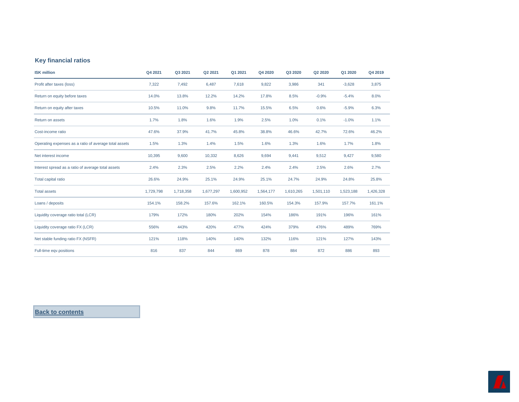### <span id="page-10-0"></span>**Key financial ratios**

| <b>ISK million</b>                                    | Q4 2021   | Q3 2021   | Q2 2021   | Q1 2021   | Q4 2020   | Q3 2020   | Q2 2020   | Q1 2020   | Q4 2019   |
|-------------------------------------------------------|-----------|-----------|-----------|-----------|-----------|-----------|-----------|-----------|-----------|
| Profit after taxes (loss)                             | 7,322     | 7,492     | 6,487     | 7,618     | 9,822     | 3,986     | 341       | $-3,628$  | 3,875     |
| Return on equity before taxes                         | 14.0%     | 13.8%     | 12.2%     | 14.2%     | 17.8%     | 8.5%      | $-0.9%$   | $-5.4%$   | 8.0%      |
| Return on equity after taxes                          | 10.5%     | 11.0%     | 9.8%      | 11.7%     | 15.5%     | 6.5%      | 0.6%      | $-5.9%$   | 6.3%      |
| Return on assets                                      | 1.7%      | 1.8%      | 1.6%      | 1.9%      | 2.5%      | 1.0%      | 0.1%      | $-1.0%$   | 1.1%      |
| Cost-income ratio                                     | 47.6%     | 37.9%     | 41.7%     | 45.8%     | 38.8%     | 46.6%     | 42.7%     | 72.6%     | 46.2%     |
| Operating expenses as a ratio of average total assets | 1.5%      | 1.3%      | 1.4%      | 1.5%      | 1.6%      | 1.3%      | 1.6%      | 1.7%      | 1.8%      |
| Net interest income                                   | 10,395    | 9,600     | 10,332    | 8,626     | 9,694     | 9,441     | 9,512     | 9,427     | 9,580     |
| Interest spread as a ratio of average total assets    | 2.4%      | 2.3%      | 2.5%      | 2.2%      | 2.4%      | 2.4%      | 2.5%      | 2.6%      | 2.7%      |
| Total capital ratio                                   | 26.6%     | 24.9%     | 25.1%     | 24.9%     | 25.1%     | 24.7%     | 24.9%     | 24.8%     | 25.8%     |
| <b>Total assets</b>                                   | 1,729,798 | 1,718,358 | 1,677,297 | 1,600,952 | 1,564,177 | 1,610,265 | 1,501,110 | 1,523,188 | 1,426,328 |
| Loans / deposits                                      | 154.1%    | 158.2%    | 157.6%    | 162.1%    | 160.5%    | 154.3%    | 157.9%    | 157.7%    | 161.1%    |
| Liquidity coverage ratio total (LCR)                  | 179%      | 172%      | 180%      | 202%      | 154%      | 186%      | 191%      | 196%      | 161%      |
| Liquidity coverage ratio FX (LCR)                     | 556%      | 443%      | 420%      | 477%      | 424%      | 379%      | 476%      | 489%      | 769%      |
| Net stable funding ratio FX (NSFR)                    | 121%      | 118%      | 140%      | 140%      | 132%      | 116%      | 121%      | 127%      | 143%      |
| Full-time eqv.positions                               | 816       | 837       | 844       | 869       | 878       | 884       | 872       | 886       | 893       |

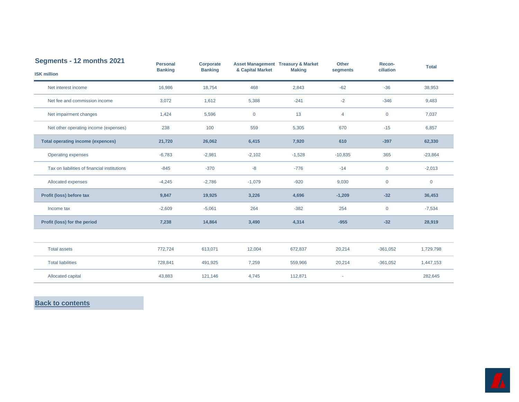<span id="page-11-0"></span>

| Segments - 12 months 2021                    | <b>Personal</b> | Corporate      |                  | <b>Asset Management Treasury &amp; Market</b> | <b>Other</b>             | Recon-       | <b>Total</b> |
|----------------------------------------------|-----------------|----------------|------------------|-----------------------------------------------|--------------------------|--------------|--------------|
| <b>ISK million</b>                           | <b>Banking</b>  | <b>Banking</b> | & Capital Market | <b>Making</b>                                 | segments                 | ciliation    |              |
| Net interest income                          | 16,986          | 18,754         | 468              | 2,843                                         | $-62$                    | $-36$        | 38,953       |
| Net fee and commission income                | 3,072           | 1,612          | 5,388            | $-241$                                        | $-2$                     | $-346$       | 9,483        |
| Net impairment changes                       | 1,424           | 5,596          | $\mathbf 0$      | 13                                            | 4                        | $\mathbf 0$  | 7,037        |
| Net other operating income (expenses)        | 238             | 100            | 559              | 5,305                                         | 670                      | $-15$        | 6,857        |
| <b>Total operating income (expences)</b>     | 21,720          | 26,062         | 6,415            | 7,920                                         | 610                      | $-397$       | 62,330       |
| <b>Operating expenses</b>                    | $-6,783$        | $-2,981$       | $-2,102$         | $-1,528$                                      | $-10,835$                | 365          | $-23,864$    |
| Tax on liabilities of financial institutions | $-845$          | $-370$         | $-8$             | $-776$                                        | $-14$                    | $\mathbf 0$  | $-2,013$     |
| Allocated expenses                           | $-4,245$        | $-2,786$       | $-1,079$         | $-920$                                        | 9,030                    | $\mathbf 0$  | $\mathbf 0$  |
| Profit (loss) before tax                     | 9,847           | 19,925         | 3,226            | 4,696                                         | $-1,209$                 | $-32$        | 36,453       |
| Income tax                                   | $-2,609$        | $-5,061$       | 264              | $-382$                                        | 254                      | $\mathbf{0}$ | $-7,534$     |
| Profit (loss) for the period                 | 7,238           | 14,864         | 3,490            | 4,314                                         | $-955$                   | $-32$        | 28,919       |
|                                              |                 |                |                  |                                               |                          |              |              |
| <b>Total assets</b>                          | 772,724         | 613,071        | 12,004           | 672,837                                       | 20,214                   | $-361,052$   | 1,729,798    |
| <b>Total liabilities</b>                     | 728,841         | 491,925        | 7,259            | 559,966                                       | 20,214                   | $-361,052$   | 1,447,153    |
| Allocated capital                            | 43,883          | 121,146        | 4,745            | 112,871                                       | $\overline{\phantom{a}}$ |              | 282,645      |